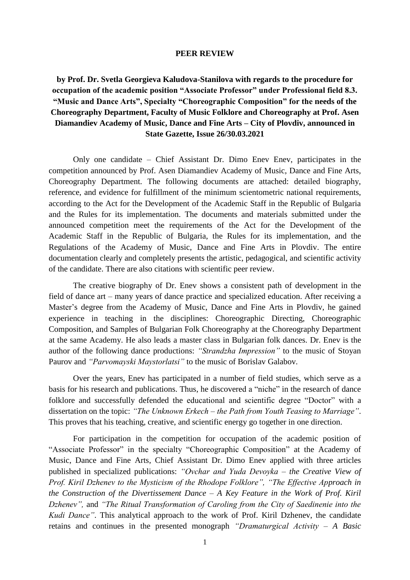## **PEER REVIEW**

**by Prof. Dr. Svetla Georgieva Kaludova-Stanilova with regards to the procedure for occupation of the academic position "Associate Professor" under Professional field 8.3. "Music and Dance Arts", Specialty "Choreographic Composition" for the needs of the Choreography Department, Faculty of Music Folklore and Choreography at Prof. Asen Diamandiev Academy of Music, Dance and Fine Arts – City of Plovdiv, announced in State Gazette, Issue 26/30.03.2021**

Only one candidate – Chief Assistant Dr. Dimo Enev Enev, participates in the competition announced by Prof. Asen Diamandiev Academy of Music, Dance and Fine Arts, Choreography Department. The following documents are attached: detailed biography, reference, and evidence for fulfillment of the minimum scientometric national requirements, according to the Act for the Development of the Academic Staff in the Republic of Bulgaria and the Rules for its implementation. The documents and materials submitted under the announced competition meet the requirements of the Act for the Development of the Academic Staff in the Republic of Bulgaria, the Rules for its implementation, and the Regulations of the Academy of Music, Dance and Fine Arts in Plovdiv. The entire documentation clearly and completely presents the artistic, pedagogical, and scientific activity of the candidate. There are also citations with scientific peer review.

The creative biography of Dr. Enev shows a consistent path of development in the field of dance art – many years of dance practice and specialized education. After receiving a Master's degree from the Academy of Music, Dance and Fine Arts in Plovdiv, he gained experience in teaching in the disciplines: Choreographic Directing, Choreographic Composition, and Samples of Bulgarian Folk Choreography at the Choreography Department at the same Academy. He also leads a master class in Bulgarian folk dances. Dr. Enev is the author of the following dance productions: *"Strandzha Impression"* to the music of Stoyan Paurov and *"Parvomayski Maystorlatsi"* to the music of Borislav Galabov.

Over the years, Enev has participated in a number of field studies, which serve as a basis for his research and publications. Thus, he discovered a "niche" in the research of dance folklore and successfully defended the educational and scientific degree "Doctor" with a dissertation on the topic: *"The Unknown Erkech – the Path from Youth Teasing to Marriage"*. This proves that his teaching, creative, and scientific energy go together in one direction.

For participation in the competition for occupation of the academic position of "Associate Professor" in the specialty "Choreographic Composition" at the Academy of Music, Dance and Fine Arts, Chief Assistant Dr. Dimo Enev applied with three articles published in specialized publications: *"Ovchar and Yuda Devoyka – the Creative View of Prof. Kiril Dzhenev to the Mysticism of the Rhodope Folklore", "The Effective Approach in the Construction of the Divertissement Dance – A Key Feature in the Work of Prof. Kiril Dzhenev",* and *"The Ritual Transformation of Caroling from the City of Saedinenie into the Kudi Dance"*. This analytical approach to the work of Prof. Kiril Dzhenev, the candidate retains and continues in the presented monograph *"Dramaturgical Activity – A Basic*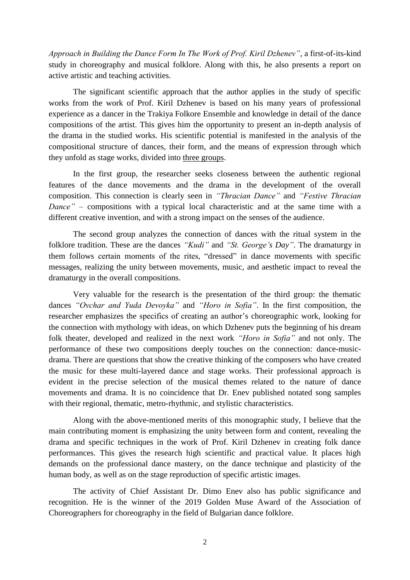*Approach in Building the Dance Form In The Work of Prof. Kiril Dzhenev"*, a first-of-its-kind study in choreography and musical folklore. Along with this, he also presents a report on active artistic and teaching activities.

The significant scientific approach that the author applies in the study of specific works from the work of Prof. Kiril Dzhenev is based on his many years of professional experience as a dancer in the Trakiya Folkore Ensemble and knowledge in detail of the dance compositions of the artist. This gives him the opportunity to present an in-depth analysis of the drama in the studied works. His scientific potential is manifested in the analysis of the compositional structure of dances, their form, and the means of expression through which they unfold as stage works, divided into three groups.

In the first group, the researcher seeks closeness between the authentic regional features of the dance movements and the drama in the development of the overall composition. This connection is clearly seen in *"Thracian Dance"* and *"Festive Thracian Dance"* – compositions with a typical local characteristic and at the same time with a different creative invention, and with a strong impact on the senses of the audience.

The second group analyzes the connection of dances with the ritual system in the folklore tradition. These are the dances *"Kudi"* and *"St. George's Day"*. The dramaturgy in them follows certain moments of the rites, "dressed" in dance movements with specific messages, realizing the unity between movements, music, and aesthetic impact to reveal the dramaturgy in the overall compositions.

Very valuable for the research is the presentation of the third group: the thematic dances *"Ovchar and Yuda Devoyka"* and *"Horo in Sofia"*. In the first composition, the researcher emphasizes the specifics of creating an author's choreographic work, looking for the connection with mythology with ideas, on which Dzhenev puts the beginning of his dream folk theater, developed and realized in the next work *"Horo in Sofia"* and not only. The performance of these two compositions deeply touches on the connection: dance-musicdrama. There are questions that show the creative thinking of the composers who have created the music for these multi-layered dance and stage works. Their professional approach is evident in the precise selection of the musical themes related to the nature of dance movements and drama. It is no coincidence that Dr. Enev published notated song samples with their regional, thematic, metro-rhythmic, and stylistic characteristics.

Along with the above-mentioned merits of this monographic study, I believe that the main contributing moment is emphasizing the unity between form and content, revealing the drama and specific techniques in the work of Prof. Kiril Dzhenev in creating folk dance performances. This gives the research high scientific and practical value. It places high demands on the professional dance mastery, on the dance technique and plasticity of the human body, as well as on the stage reproduction of specific artistic images.

The activity of Chief Assistant Dr. Dimo Enev also has public significance and recognition. He is the winner of the 2019 Golden Muse Award of the Association of Choreographers for choreography in the field of Bulgarian dance folklore.